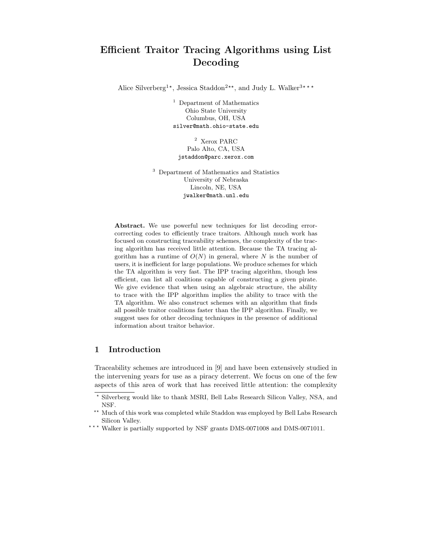# Efficient Traitor Tracing Algorithms using List Decoding

Alice Silverberg<sup>1\*</sup>, Jessica Staddon<sup>2\*\*</sup>, and Judy L. Walker<sup>3\*\*\*</sup>

<sup>1</sup> Department of Mathematics Ohio State University Columbus, OH, USA silver@math.ohio-state.edu

<sup>2</sup> Xerox PARC Palo Alto, CA, USA jstaddon@parc.xerox.com

<sup>3</sup> Department of Mathematics and Statistics University of Nebraska Lincoln, NE, USA jwalker@math.unl.edu

Abstract. We use powerful new techniques for list decoding errorcorrecting codes to efficiently trace traitors. Although much work has focused on constructing traceability schemes, the complexity of the tracing algorithm has received little attention. Because the TA tracing algorithm has a runtime of  $O(N)$  in general, where N is the number of users, it is inefficient for large populations. We produce schemes for which the TA algorithm is very fast. The IPP tracing algorithm, though less efficient, can list all coalitions capable of constructing a given pirate. We give evidence that when using an algebraic structure, the ability to trace with the IPP algorithm implies the ability to trace with the TA algorithm. We also construct schemes with an algorithm that finds all possible traitor coalitions faster than the IPP algorithm. Finally, we suggest uses for other decoding techniques in the presence of additional information about traitor behavior.

# 1 Introduction

Traceability schemes are introduced in [9] and have been extensively studied in the intervening years for use as a piracy deterrent. We focus on one of the few aspects of this area of work that has received little attention: the complexity

<sup>?</sup> Silverberg would like to thank MSRI, Bell Labs Research Silicon Valley, NSA, and NSF.

<sup>\*\*</sup> Much of this work was completed while Staddon was employed by Bell Labs Research Silicon Valley.

 $^{\star\;\star\;\star}$  Walker is partially supported by NSF grants DMS-0071008 and DMS-0071011.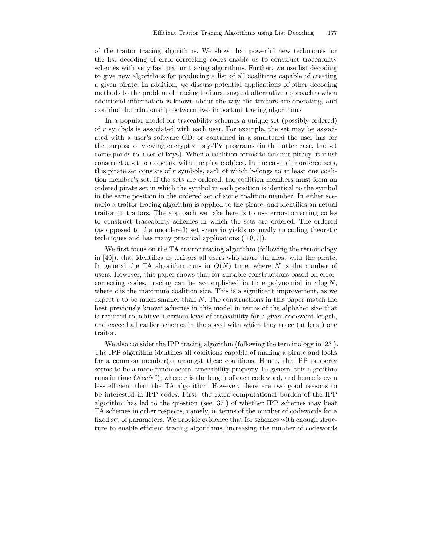of the traitor tracing algorithms. We show that powerful new techniques for the list decoding of error-correcting codes enable us to construct traceability schemes with very fast traitor tracing algorithms. Further, we use list decoding to give new algorithms for producing a list of all coalitions capable of creating a given pirate. In addition, we discuss potential applications of other decoding methods to the problem of tracing traitors, suggest alternative approaches when additional information is known about the way the traitors are operating, and examine the relationship between two important tracing algorithms.

In a popular model for traceability schemes a unique set (possibly ordered) of r symbols is associated with each user. For example, the set may be associated with a user's software CD, or contained in a smartcard the user has for the purpose of viewing encrypted pay-TV programs (in the latter case, the set corresponds to a set of keys). When a coalition forms to commit piracy, it must construct a set to associate with the pirate object. In the case of unordered sets, this pirate set consists of r symbols, each of which belongs to at least one coalition member's set. If the sets are ordered, the coalition members must form an ordered pirate set in which the symbol in each position is identical to the symbol in the same position in the ordered set of some coalition member. In either scenario a traitor tracing algorithm is applied to the pirate, and identifies an actual traitor or traitors. The approach we take here is to use error-correcting codes to construct traceability schemes in which the sets are ordered. The ordered (as opposed to the unordered) set scenario yields naturally to coding theoretic techniques and has many practical applications ([10, 7]).

We first focus on the TA traitor tracing algorithm (following the terminology in [40]), that identifies as traitors all users who share the most with the pirate. In general the TA algorithm runs in  $O(N)$  time, where N is the number of users. However, this paper shows that for suitable constructions based on errorcorrecting codes, tracing can be accomplished in time polynomial in  $c \log N$ , where  $c$  is the maximum coalition size. This is a significant improvement, as we expect  $c$  to be much smaller than  $N$ . The constructions in this paper match the best previously known schemes in this model in terms of the alphabet size that is required to achieve a certain level of traceability for a given codeword length, and exceed all earlier schemes in the speed with which they trace (at least) one traitor.

We also consider the IPP tracing algorithm (following the terminology in [23]). The IPP algorithm identifies all coalitions capable of making a pirate and looks for a common member(s) amongst these coalitions. Hence, the IPP property seems to be a more fundamental traceability property. In general this algorithm runs in time  $O(c r N^c)$ , where r is the length of each codeword, and hence is even less efficient than the TA algorithm. However, there are two good reasons to be interested in IPP codes. First, the extra computational burden of the IPP algorithm has led to the question (see [37]) of whether IPP schemes may beat TA schemes in other respects, namely, in terms of the number of codewords for a fixed set of parameters. We provide evidence that for schemes with enough structure to enable efficient tracing algorithms, increasing the number of codewords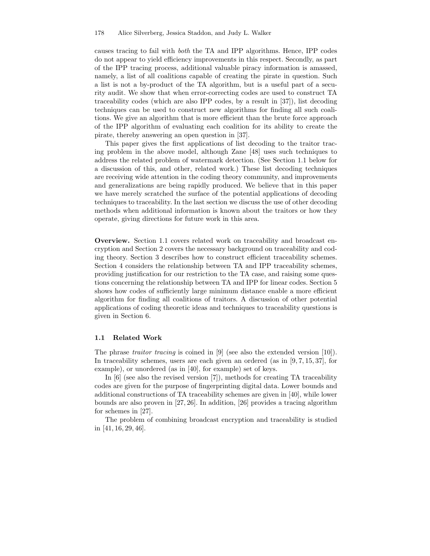causes tracing to fail with both the TA and IPP algorithms. Hence, IPP codes do not appear to yield efficiency improvements in this respect. Secondly, as part of the IPP tracing process, additional valuable piracy information is amassed, namely, a list of all coalitions capable of creating the pirate in question. Such a list is not a by-product of the TA algorithm, but is a useful part of a security audit. We show that when error-correcting codes are used to construct TA traceability codes (which are also IPP codes, by a result in [37]), list decoding techniques can be used to construct new algorithms for finding all such coalitions. We give an algorithm that is more efficient than the brute force approach of the IPP algorithm of evaluating each coalition for its ability to create the pirate, thereby answering an open question in [37].

This paper gives the first applications of list decoding to the traitor tracing problem in the above model, although Zane [48] uses such techniques to address the related problem of watermark detection. (See Section 1.1 below for a discussion of this, and other, related work.) These list decoding techniques are receiving wide attention in the coding theory community, and improvements and generalizations are being rapidly produced. We believe that in this paper we have merely scratched the surface of the potential applications of decoding techniques to traceability. In the last section we discuss the use of other decoding methods when additional information is known about the traitors or how they operate, giving directions for future work in this area.

Overview. Section 1.1 covers related work on traceability and broadcast encryption and Section 2 covers the necessary background on traceability and coding theory. Section 3 describes how to construct efficient traceability schemes. Section 4 considers the relationship between TA and IPP traceability schemes, providing justification for our restriction to the TA case, and raising some questions concerning the relationship between TA and IPP for linear codes. Section 5 shows how codes of sufficiently large minimum distance enable a more efficient algorithm for finding all coalitions of traitors. A discussion of other potential applications of coding theoretic ideas and techniques to traceability questions is given in Section 6.

#### 1.1 Related Work

The phrase *traitor tracing* is coined in [9] (see also the extended version [10]). In traceability schemes, users are each given an ordered (as in  $[9, 7, 15, 37]$ , for example), or unordered (as in [40], for example) set of keys.

In [6] (see also the revised version [7]), methods for creating TA traceability codes are given for the purpose of fingerprinting digital data. Lower bounds and additional constructions of TA traceability schemes are given in [40], while lower bounds are also proven in [27, 26]. In addition, [26] provides a tracing algorithm for schemes in [27].

The problem of combining broadcast encryption and traceability is studied in [41, 16, 29, 46].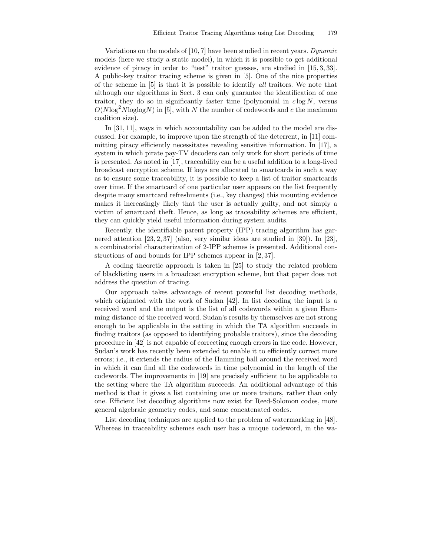Variations on the models of [10, 7] have been studied in recent years. Dynamic models (here we study a static model), in which it is possible to get additional evidence of piracy in order to "test" traitor guesses, are studied in [15, 3, 33]. A public-key traitor tracing scheme is given in [5]. One of the nice properties of the scheme in [5] is that it is possible to identify all traitors. We note that although our algorithms in Sect. 3 can only guarantee the identification of one traitor, they do so in significantly faster time (polynomial in  $c \log N$ , versus  $O(N \log^2 N \log \log N)$  in [5], with N the number of codewords and c the maximum coalition size).

In [31, 11], ways in which accountability can be added to the model are discussed. For example, to improve upon the strength of the deterrent, in [11] committing piracy efficiently necessitates revealing sensitive information. In [17], a system in which pirate pay-TV decoders can only work for short periods of time is presented. As noted in [17], traceability can be a useful addition to a long-lived broadcast encryption scheme. If keys are allocated to smartcards in such a way as to ensure some traceability, it is possible to keep a list of traitor smartcards over time. If the smartcard of one particular user appears on the list frequently despite many smartcard refreshments (i.e., key changes) this mounting evidence makes it increasingly likely that the user is actually guilty, and not simply a victim of smartcard theft. Hence, as long as traceability schemes are efficient, they can quickly yield useful information during system audits.

Recently, the identifiable parent property (IPP) tracing algorithm has garnered attention [23, 2, 37] (also, very similar ideas are studied in [39]). In [23], a combinatorial characterization of 2-IPP schemes is presented. Additional constructions of and bounds for IPP schemes appear in [2, 37].

A coding theoretic approach is taken in [25] to study the related problem of blacklisting users in a broadcast encryption scheme, but that paper does not address the question of tracing.

Our approach takes advantage of recent powerful list decoding methods, which originated with the work of Sudan [42]. In list decoding the input is a received word and the output is the list of all codewords within a given Hamming distance of the received word. Sudan's results by themselves are not strong enough to be applicable in the setting in which the TA algorithm succeeds in finding traitors (as opposed to identifying probable traitors), since the decoding procedure in [42] is not capable of correcting enough errors in the code. However, Sudan's work has recently been extended to enable it to efficiently correct more errors; i.e., it extends the radius of the Hamming ball around the received word in which it can find all the codewords in time polynomial in the length of the codewords. The improvements in [19] are precisely sufficient to be applicable to the setting where the TA algorithm succeeds. An additional advantage of this method is that it gives a list containing one or more traitors, rather than only one. Efficient list decoding algorithms now exist for Reed-Solomon codes, more general algebraic geometry codes, and some concatenated codes.

List decoding techniques are applied to the problem of watermarking in [48]. Whereas in traceability schemes each user has a unique codeword, in the wa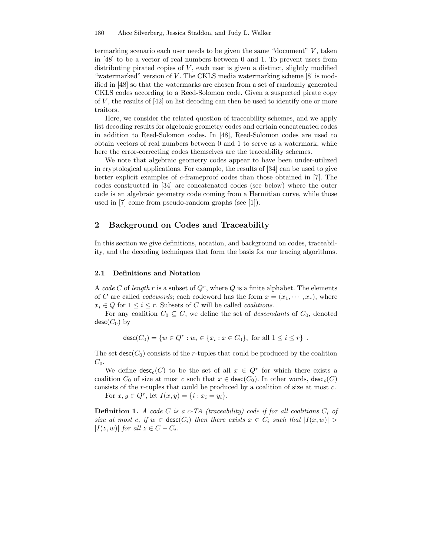termarking scenario each user needs to be given the same "document"  $V$ , taken in [48] to be a vector of real numbers between 0 and 1. To prevent users from distributing pirated copies of  $V$ , each user is given a distinct, slightly modified "watermarked" version of V. The CKLS media watermarking scheme [8] is modified in [48] so that the watermarks are chosen from a set of randomly generated CKLS codes according to a Reed-Solomon code. Given a suspected pirate copy of  $V$ , the results of  $[42]$  on list decoding can then be used to identify one or more traitors.

Here, we consider the related question of traceability schemes, and we apply list decoding results for algebraic geometry codes and certain concatenated codes in addition to Reed-Solomon codes. In [48], Reed-Solomon codes are used to obtain vectors of real numbers between 0 and 1 to serve as a watermark, while here the error-correcting codes themselves are the traceability schemes.

We note that algebraic geometry codes appear to have been under-utilized in cryptological applications. For example, the results of [34] can be used to give better explicit examples of c-frameproof codes than those obtained in [7]. The codes constructed in [34] are concatenated codes (see below) where the outer code is an algebraic geometry code coming from a Hermitian curve, while those used in [7] come from pseudo-random graphs (see [1]).

# 2 Background on Codes and Traceability

In this section we give definitions, notation, and background on codes, traceability, and the decoding techniques that form the basis for our tracing algorithms.

#### 2.1 Definitions and Notation

A code C of length r is a subset of  $Q<sup>r</sup>$ , where Q is a finite alphabet. The elements of C are called *codewords*; each codeword has the form  $x = (x_1, \dots, x_r)$ , where  $x_i \in Q$  for  $1 \leq i \leq r$ . Subsets of C will be called *coalitions*.

For any coalition  $C_0 \subseteq C$ , we define the set of *descendants* of  $C_0$ , denoted  $\textsf{desc}(C_0)$  by

$$
\mathsf{desc}(C_0) = \{ w \in Q^r : w_i \in \{ x_i : x \in C_0 \}, \text{ for all } 1 \le i \le r \} .
$$

The set  $\text{desc}(C_0)$  consists of the r-tuples that could be produced by the coalition  $C_0$ .

We define  $\text{desc}_c(C)$  to be the set of all  $x \in Q^r$  for which there exists a coalition  $C_0$  of size at most c such that  $x \in \text{desc}(C_0)$ . In other words,  $\text{desc}_c(C)$ consists of the r-tuples that could be produced by a coalition of size at most c.

For  $x, y \in Q^r$ , let  $I(x, y) = \{i : x_i = y_i\}.$ 

**Definition 1.** A code C is a c-TA (traceability) code if for all coalitions  $C_i$  of size at most c, if  $w \in \text{desc}(C_i)$  then there exists  $x \in C_i$  such that  $|I(x, w)| >$  $|I(z, w)|$  for all  $z \in C - C_i$ .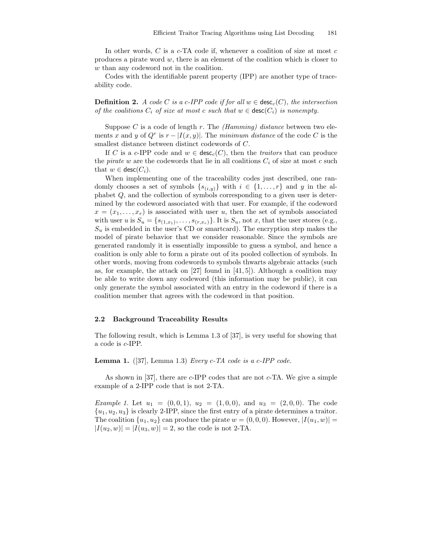In other words,  $C$  is a  $c$ -TA code if, whenever a coalition of size at most  $c$ produces a pirate word  $w$ , there is an element of the coalition which is closer to w than any codeword not in the coalition.

Codes with the identifiable parent property (IPP) are another type of traceability code.

**Definition 2.** A code C is a c-IPP code if for all  $w \in \text{desc}_c(C)$ , the intersection of the coalitions  $C_i$  of size at most c such that  $w \in \text{desc}(C_i)$  is nonempty.

Suppose C is a code of length r. The  $(Hamming)$  distance between two elements x and y of  $Q^r$  is  $r - |I(x, y)|$ . The minimum distance of the code C is the smallest distance between distinct codewords of C.

If C is a c-IPP code and  $w \in \text{desc}_c(C)$ , then the *traitors* that can produce the *pirate* w are the codewords that lie in all coalitions  $C_i$  of size at most c such that  $w \in \text{desc}(C_i)$ .

When implementing one of the traceability codes just described, one randomly chooses a set of symbols  $\{s_{(i,y)}\}$  with  $i \in \{1,\ldots,r\}$  and y in the alphabet Q, and the collection of symbols corresponding to a given user is determined by the codeword associated with that user. For example, if the codeword  $x = (x_1, \ldots, x_r)$  is associated with user u, then the set of symbols associated with user u is  $S_u = \{s_{(1,x_1)}, \ldots, s_{(r,x_r)}\}$ . It is  $S_u$ , not x, that the user stores (e.g.,  $S_u$  is embedded in the user's CD or smartcard). The encryption step makes the model of pirate behavior that we consider reasonable. Since the symbols are generated randomly it is essentially impossible to guess a symbol, and hence a coalition is only able to form a pirate out of its pooled collection of symbols. In other words, moving from codewords to symbols thwarts algebraic attacks (such as, for example, the attack on  $[27]$  found in  $[41, 5]$ ). Although a coalition may be able to write down any codeword (this information may be public), it can only generate the symbol associated with an entry in the codeword if there is a coalition member that agrees with the codeword in that position.

#### 2.2 Background Traceability Results

The following result, which is Lemma 1.3 of [37], is very useful for showing that a code is c-IPP.

**Lemma 1.** ([37], Lemma 1.3) Every c-TA code is a c-IPP code.

As shown in [37], there are c-IPP codes that are not c-TA. We give a simple example of a 2-IPP code that is not 2-TA.

*Example 1.* Let  $u_1 = (0, 0, 1), u_2 = (1, 0, 0),$  and  $u_3 = (2, 0, 0)$ . The code  ${u_1, u_2, u_3}$  is clearly 2-IPP, since the first entry of a pirate determines a traitor. The coalition  $\{u_1, u_2\}$  can produce the pirate  $w = (0, 0, 0)$ . However,  $|I(u_1, w)| =$  $|I(u_2, w)| = |I(u_3, w)| = 2$ , so the code is not 2-TA.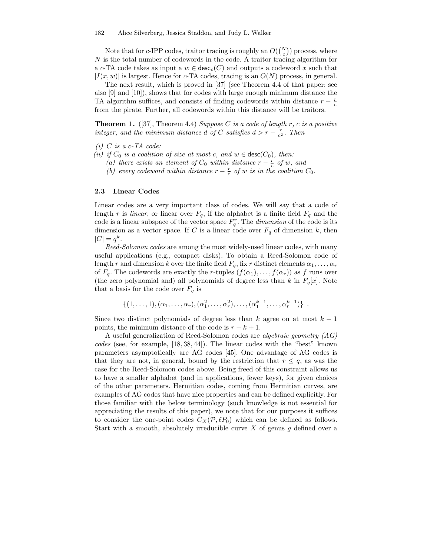Note that for c-IPP codes, traitor tracing is roughly an  $O({N \choose c})$  process, where N is the total number of codewords in the code. A traitor tracing algorithm for a c-TA code takes as input a  $w \in \text{desc}_c(C)$  and outputs a codeword x such that  $|I(x, w)|$  is largest. Hence for c-TA codes, tracing is an  $O(N)$  process, in general.

The next result, which is proved in [37] (see Theorem 4.4 of that paper; see also [9] and [10]), shows that for codes with large enough minimum distance the TA algorithm suffices, and consists of finding codewords within distance  $r - \frac{r}{c}$ from the pirate. Further, all codewords within this distance will be traitors.

**Theorem 1.** ([37], Theorem 4.4) Suppose C is a code of length r, c is a positive integer, and the minimum distance d of C satisfies  $d > r - \frac{r}{c^2}$ . Then

- $(i)$  C is a c-TA code;
- (ii) if  $C_0$  is a coalition of size at most c, and  $w \in \text{desc}(C_0)$ , then:
	- (a) there exists an element of  $C_0$  within distance  $r \frac{r}{c}$  of w, and
	- (b) every codeword within distance  $r \frac{r}{c}$  of w is in the coalition  $C_0$ .

#### 2.3 Linear Codes

Linear codes are a very important class of codes. We will say that a code of length r is linear, or linear over  $F_q$ , if the alphabet is a finite field  $F_q$  and the code is a linear subspace of the vector space  $F_q^r$ . The *dimension* of the code is its dimension as a vector space. If C is a linear code over  $F_q$  of dimension k, then  $|C| = q^k.$ 

Reed-Solomon codes are among the most widely-used linear codes, with many useful applications (e.g., compact disks). To obtain a Reed-Solomon code of length r and dimension k over the finite field  $F_q$ , fix r distinct elements  $\alpha_1, \ldots, \alpha_r$ of  $F_q$ . The codewords are exactly the r-tuples  $(f(\alpha_1), \ldots, f(\alpha_r))$  as f runs over (the zero polynomial and) all polynomials of degree less than k in  $F_q[x]$ . Note that a basis for the code over  $F_q$  is

$$
\{(1,\ldots,1),(\alpha_1,\ldots,\alpha_r),(\alpha_1^2,\ldots,\alpha_r^2),\ldots,(\alpha_1^{k-1},\ldots,\alpha_r^{k-1})\}.
$$

Since two distinct polynomials of degree less than k agree on at most  $k - 1$ points, the minimum distance of the code is  $r - k + 1$ .

A useful generalization of Reed-Solomon codes are algebraic geometry (AG) codes (see, for example, [18, 38, 44]). The linear codes with the "best" known parameters asymptotically are AG codes [45]. One advantage of AG codes is that they are not, in general, bound by the restriction that  $r \leq q$ , as was the case for the Reed-Solomon codes above. Being freed of this constraint allows us to have a smaller alphabet (and in applications, fewer keys), for given choices of the other parameters. Hermitian codes, coming from Hermitian curves, are examples of AG codes that have nice properties and can be defined explicitly. For those familiar with the below terminology (such knowledge is not essential for appreciating the results of this paper), we note that for our purposes it suffices to consider the one-point codes  $C_{X}(\mathcal{P}, \ell P_0)$  which can be defined as follows. Start with a smooth, absolutely irreducible curve  $X$  of genus  $g$  defined over a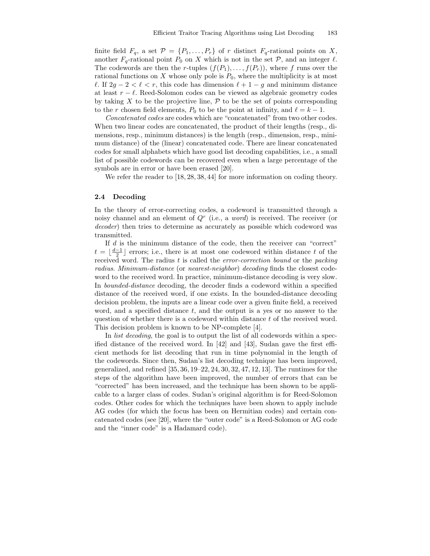finite field  $F_q$ , a set  $\mathcal{P} = \{P_1, \ldots, P_r\}$  of r distinct  $F_q$ -rational points on X, another  $F_q$ -rational point  $P_0$  on X which is not in the set  $P$ , and an integer  $\ell$ . The codewords are then the r-tuples  $(f(P_1), \ldots, f(P_r))$ , where f runs over the rational functions on  $X$  whose only pole is  $P_0$ , where the multiplicity is at most  $\ell$ . If 2g − 2 <  $\ell$  < r, this code has dimension  $\ell + 1 - g$  and minimum distance at least  $r - \ell$ . Reed-Solomon codes can be viewed as algebraic geometry codes by taking X to be the projective line,  $\mathcal P$  to be the set of points corresponding to the r chosen field elements,  $P_0$  to be the point at infinity, and  $\ell = k - 1$ .

Concatenated codes are codes which are "concatenated" from two other codes. When two linear codes are concatenated, the product of their lengths (resp., dimensions, resp., minimum distances) is the length (resp., dimension, resp., minimum distance) of the (linear) concatenated code. There are linear concatenated codes for small alphabets which have good list decoding capabilities, i.e., a small list of possible codewords can be recovered even when a large percentage of the symbols are in error or have been erased [20].

We refer the reader to  $[18, 28, 38, 44]$  for more information on coding theory.

#### 2.4 Decoding

In the theory of error-correcting codes, a codeword is transmitted through a noisy channel and an element of  $Q<sup>r</sup>$  (i.e., a *word*) is received. The receiver (or decoder) then tries to determine as accurately as possible which codeword was transmitted.

If  $d$  is the minimum distance of the code, then the receiver can "correct"  $t = \lfloor \frac{d-1}{2} \rfloor$  errors; i.e., there is at most one codeword within distance t of the received word. The radius  $t$  is called the *error-correction bound* or the *packing* radius. Minimum-distance (or nearest-neighbor) decoding finds the closest codeword to the received word. In practice, minimum-distance decoding is very slow. In bounded-distance decoding, the decoder finds a codeword within a specified distance of the received word, if one exists. In the bounded-distance decoding decision problem, the inputs are a linear code over a given finite field, a received word, and a specified distance t, and the output is a yes or no answer to the question of whether there is a codeword within distance t of the received word. This decision problem is known to be NP-complete [4].

In *list decoding*, the goal is to output the list of all codewords within a specified distance of the received word. In [42] and [43], Sudan gave the first efficient methods for list decoding that run in time polynomial in the length of the codewords. Since then, Sudan's list decoding technique has been improved, generalized, and refined [35, 36, 19–22, 24, 30, 32, 47, 12, 13]. The runtimes for the steps of the algorithm have been improved, the number of errors that can be "corrected" has been increased, and the technique has been shown to be applicable to a larger class of codes. Sudan's original algorithm is for Reed-Solomon codes. Other codes for which the techniques have been shown to apply include AG codes (for which the focus has been on Hermitian codes) and certain concatenated codes (see [20], where the "outer code" is a Reed-Solomon or AG code and the "inner code" is a Hadamard code).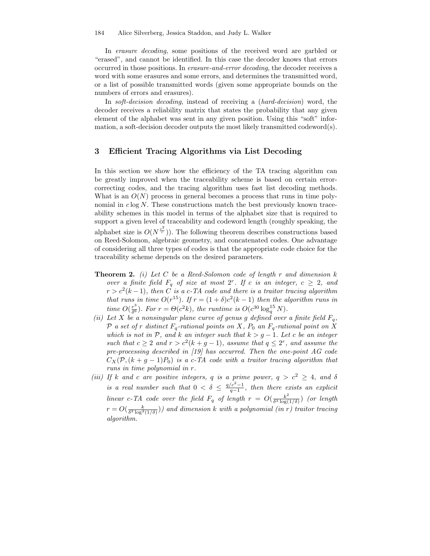In erasure decoding, some positions of the received word are garbled or "erased", and cannot be identified. In this case the decoder knows that errors occurred in those positions. In erasure-and-error decoding, the decoder receives a word with some erasures and some errors, and determines the transmitted word, or a list of possible transmitted words (given some appropriate bounds on the numbers of errors and erasures).

In soft-decision decoding, instead of receiving a (hard-decision) word, the decoder receives a reliability matrix that states the probability that any given element of the alphabet was sent in any given position. Using this "soft" information, a soft-decision decoder outputs the most likely transmitted codeword(s).

# 3 Efficient Tracing Algorithms via List Decoding

In this section we show how the efficiency of the TA tracing algorithm can be greatly improved when the traceability scheme is based on certain errorcorrecting codes, and the tracing algorithm uses fast list decoding methods. What is an  $O(N)$  process in general becomes a process that runs in time polynomial in  $c \log N$ . These constructions match the best previously known traceability schemes in this model in terms of the alphabet size that is required to support a given level of traceability and codeword length (roughly speaking, the alphabet size is  $O(N^{\frac{c^2}{r}})$ ). The following theorem describes constructions based on Reed-Solomon, algebraic geometry, and concatenated codes. One advantage of considering all three types of codes is that the appropriate code choice for the traceability scheme depends on the desired parameters.

- **Theorem 2.** (i) Let C be a Reed-Solomon code of length r and dimension  $k$ over a finite field  $F_q$  of size at most  $2^r$ . If c is an integer,  $c \geq 2$ , and  $r > c^2(k-1)$ , then C is a c-TA code and there is a traitor tracing algorithm that runs in time  $O(r^{15})$ . If  $r = (1+\delta)c^2(k-1)$  then the algorithm runs in time  $O(\frac{r^3}{\delta^6})$  $\frac{r^3}{\delta^6}$ ). For  $r = \Theta(c^2k)$ , the runtime is  $O(c^{30} \log_q^{15} N)$ .
- (ii) Let X be a nonsingular plane curve of genus g defined over a finite field  $F_q$ , P a set of r distinct  $F_q$ -rational points on X,  $P_0$  an  $F_q$ -rational point on X which is not in P, and k an integer such that  $k > g - 1$ . Let c be an integer such that  $c \geq 2$  and  $r > c^2(k + g - 1)$ , assume that  $q \leq 2^r$ , and assume the pre-processing described in [19] has occurred. Then the one-point AG code  $C_X(\mathcal{P}, (k+g-1)P_0)$  is a c-TA code with a traitor tracing algorithm that runs in time polynomial in r.
- (iii) If k and c are positive integers, q is a prime power,  $q > c^2 \geq 4$ , and  $\delta$ is a real number such that  $0 < \delta \leq \frac{q/c^2 - 1}{q - 1}$  $\frac{c-1}{q-1}$ , then there exists an explicit linear c-TA code over the field  $F_q$  of length  $r = O(\frac{k^2}{\delta^3 \log n})$  $\frac{k^2}{\delta^3 \log(1/\delta)}$  (or length  $r = O(\frac{k}{\delta^2 \log^2(1/\delta)})$ ) and dimension k with a polynomial (in r) traitor tracing algorithm.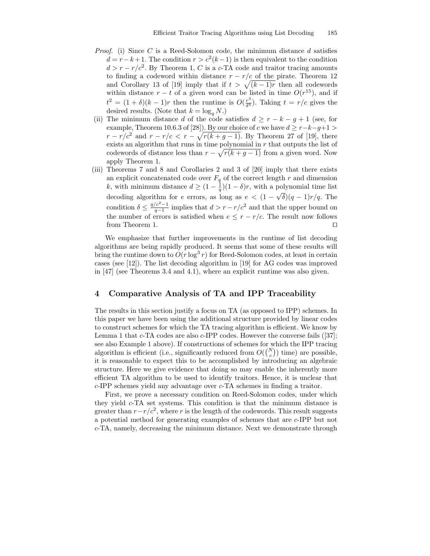- *Proof.* (i) Since C is a Reed-Solomon code, the minimum distance d satisfies  $d = r - k + 1$ . The condition  $r > c^2(k-1)$  is then equivalent to the condition  $d > r - r/c<sup>2</sup>$ . By Theorem 1, C is a c-TA code and traitor tracing amounts to finding a codeword within distance  $r - r/c$  of the pirate. Theorem 12 and Corollary 13 of [19] imply that if  $t > \sqrt{(k-1)r}$  then all codewords within distance  $r - t$  of a given word can be listed in time  $O(r^{15})$ , and if  $t^2 = (1+\delta)(k-1)r$  then the runtime is  $O(\frac{r^3}{\delta^6})$  $\frac{r^3}{\delta^6}$ ). Taking  $t = r/c$  gives the desired results. (Note that  $k = \log_q N$ .)
- (ii) The minimum distance d of the code satisfies  $d \geq r k g + 1$  (see, for example, Theorem 10.6.3 of [28]). By our choice of c we have  $d \ge r-k-g+1 >$  $r - r/c^2$  and  $r - r/c < r - \sqrt{r(k + g - 1)}$ . By Theorem 27 of [19], there exists an algorithm that runs in time polynomial in r that outputs the list of codewords of distance less than  $r - \sqrt{r(k + g - 1)}$  from a given word. Now apply Theorem 1.
- (iii) Theorems 7 and 8 and Corollaries 2 and 3 of [20] imply that there exists an explicit concatenated code over  $F_q$  of the correct length r and dimension k, with minimum distance  $d \geq (1 - \frac{1}{q})(1 - \delta)r$ , with a polynomial time list decoding algorithm for e errors, as long as  $e < (1 - \sqrt{\delta})(q - 1)r/q$ . The condition  $\delta \leq \frac{q/c^2 - 1}{q-1}$  $\frac{c^{2}-1}{q-1}$  implies that  $d > r-r/c^{2}$  and that the upper bound on the number of errors is satisfied when  $e \leq r - r/c$ . The result now follows from Theorem 1.  $\Box$

We emphasize that further improvements in the runtime of list decoding algorithms are being rapidly produced. It seems that some of these results will bring the runtime down to  $O(r \log^3 r)$  for Reed-Solomon codes, at least in certain cases (see [12]). The list decoding algorithm in [19] for AG codes was improved in [47] (see Theorems 3.4 and 4.1), where an explicit runtime was also given.

# 4 Comparative Analysis of TA and IPP Traceability

The results in this section justify a focus on TA (as opposed to IPP) schemes. In this paper we have been using the additional structure provided by linear codes to construct schemes for which the TA tracing algorithm is efficient. We know by Lemma 1 that  $c$ -TA codes are also  $c$ -IPP codes. However the converse fails ([37]; see also Example 1 above). If constructions of schemes for which the IPP tracing algorithm is efficient (i.e., significantly reduced from  $O({N \choose c})$  time) are possible, it is reasonable to expect this to be accomplished by introducing an algebraic structure. Here we give evidence that doing so may enable the inherently more efficient TA algorithm to be used to identify traitors. Hence, it is unclear that c-IPP schemes yield any advantage over c-TA schemes in finding a traitor.

First, we prove a necessary condition on Reed-Solomon codes, under which they yield c-TA set systems. This condition is that the minimum distance is greater than  $r-r/c^2$ , where r is the length of the codewords. This result suggests a potential method for generating examples of schemes that are c-IPP but not c-TA, namely, decreasing the minimum distance. Next we demonstrate through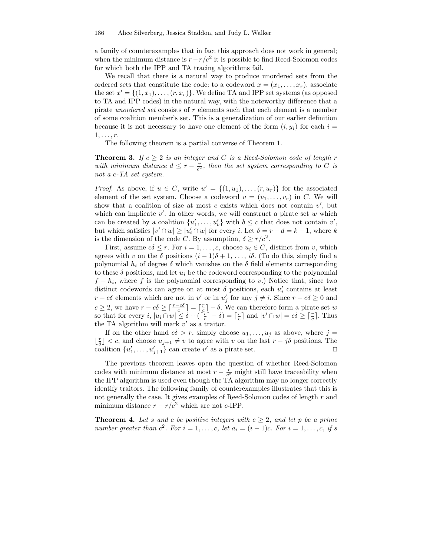a family of counterexamples that in fact this approach does not work in general; when the minimum distance is  $r-r/c^2$  it is possible to find Reed-Solomon codes for which both the IPP and TA tracing algorithms fail.

We recall that there is a natural way to produce unordered sets from the ordered sets that constitute the code: to a codeword  $x = (x_1, \ldots, x_r)$ , associate the set  $x' = \{(1, x_1), \ldots, (r, x_r)\}\.$  We define TA and IPP set systems (as opposed to TA and IPP codes) in the natural way, with the noteworthy difference that a pirate unordered set consists of  $r$  elements such that each element is a member of some coalition member's set. This is a generalization of our earlier definition because it is not necessary to have one element of the form  $(i, y_i)$  for each  $i =$  $1, \ldots, r$ .

The following theorem is a partial converse of Theorem 1.

**Theorem 3.** If  $c \geq 2$  is an integer and C is a Reed-Solomon code of length r with minimum distance  $d \leq r - \frac{r}{c^2}$ , then the set system corresponding to C is not a c-TA set system.

*Proof.* As above, if  $u \in C$ , write  $u' = \{(1, u_1), \ldots, (r, u_r)\}\)$  for the associated element of the set system. Choose a codeword  $v = (v_1, \ldots, v_r)$  in C. We will show that a coalition of size at most  $c$  exists which does not contain  $v'$ , but which can implicate  $v'$ . In other words, we will construct a pirate set w which can be created by a coalition  $\{u'_1, \ldots, u'_t\}$ b with  $b \leq c$  that does not contain  $v'$ , but which satisfies  $|v' \cap w| \ge |u'_i \cap w|$  for every *i*. Let  $\delta = r - d = k - 1$ , where k is the dimension of the code C. By assumption,  $\delta \ge r/c^2$ .

First, assume  $c\delta \leq r$ . For  $i = 1, \ldots, c$ , choose  $u_i \in C$ , distinct from v, which agrees with v on the  $\delta$  positions  $(i - 1)\delta + 1, \ldots, i\delta$ . (To do this, simply find a polynomial  $h_i$  of degree  $\delta$  which vanishes on the  $\delta$  field elements corresponding to these  $\delta$  positions, and let  $u_i$  be the codeword corresponding to the polynomial  $f - h_i$ , where f is the polynomial corresponding to v.) Notice that, since two distinct codewords can agree on at most  $\delta$  positions, each  $u'_i$  contains at least  $r - c\delta$  elements which are not in v' or in  $u'_j$  for any  $j \neq i$ . Since  $r - c\delta \geq 0$  and  $c \geq 2$ , we have  $r - c\delta \geq \left\lceil \frac{r-c\delta}{c} \right\rceil = \left\lceil \frac{r}{c} \right\rceil - \delta$ . We can therefore form a pirate set w so that for every  $i, |u_i \cap w| \leq \delta + (\lceil \frac{r}{c} \rceil - \delta) = \lceil \frac{r}{c} \rceil$  and  $|v' \cap w| = c\delta \geq \lceil \frac{r}{c} \rceil$ . Thus the TA algorithm will mark  $v'$  as a traitor.

If on the other hand  $c\delta > r$ , simply choose  $u_1, \ldots, u_j$  as above, where  $j =$  $\lfloor \frac{r}{\delta} \rfloor$  < c, and choose  $u_{j+1} \neq v$  to agree with v on the last  $r - j\delta$  positions. The coalition  $\{u'_1, \ldots, u'_{j+1}\}$  can create v' as a pirate set.

The previous theorem leaves open the question of whether Reed-Solomon codes with minimum distance at most  $r - \frac{r}{c^2}$  might still have traceability when the IPP algorithm is used even though the TA algorithm may no longer correctly identify traitors. The following family of counterexamples illustrates that this is not generally the case. It gives examples of Reed-Solomon codes of length r and minimum distance  $r - r/c^2$  which are not c-IPP.

**Theorem 4.** Let s and c be positive integers with  $c \geq 2$ , and let p be a prime number greater than  $c^2$ . For  $i = 1, ..., c$ , let  $a_i = (i - 1)c$ . For  $i = 1, ..., c$ , if s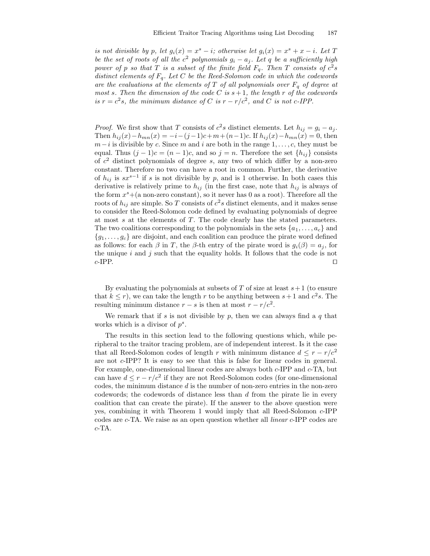is not divisible by p, let  $g_i(x) = x^s - i$ ; otherwise let  $g_i(x) = x^s + x - i$ . Let T be the set of roots of all the  $c^2$  polynomials  $g_i - a_j$ . Let q be a sufficiently high power of p so that T is a subset of the finite field  $F_q$ . Then T consists of  $c^2s$ distinct elements of  $F_q$ . Let C be the Reed-Solomon code in which the codewords are the evaluations at the elements of T of all polynomials over  $F_q$  of degree at most s. Then the dimension of the code C is  $s + 1$ , the length r of the codewords is  $r = c^2 s$ , the minimum distance of C is  $r - r/c^2$ , and C is not c-IPP.

*Proof.* We first show that T consists of  $c^2s$  distinct elements. Let  $h_{ij} = g_i - a_j$ . Then  $h_{ij}(x) - h_{mn}(x) = -i - (j-1)c + m + (n-1)c$ . If  $h_{ij}(x) - h_{mn}(x) = 0$ , then  $m-i$  is divisible by c. Since m and i are both in the range  $1, \ldots, c$ , they must be equal. Thus  $(j-1)c = (n-1)c$ , and so  $j = n$ . Therefore the set  $\{h_{ij}\}$  consists of  $c<sup>2</sup>$  distinct polynomials of degree s, any two of which differ by a non-zero constant. Therefore no two can have a root in common. Further, the derivative of  $h_{ij}$  is  $sx^{s-1}$  if s is not divisible by p, and is 1 otherwise. In both cases this derivative is relatively prime to  $h_{ij}$  (in the first case, note that  $h_{ij}$  is always of the form  $x^s +$ (a non-zero constant), so it never has 0 as a root). Therefore all the roots of  $h_{ij}$  are simple. So T consists of  $c^2s$  distinct elements, and it makes sense to consider the Reed-Solomon code defined by evaluating polynomials of degree at most s at the elements of T. The code clearly has the stated parameters. The two coalitions corresponding to the polynomials in the sets  $\{a_1, \ldots, a_c\}$  and  ${g_1, \ldots, g_c}$  are disjoint, and each coalition can produce the pirate word defined as follows: for each  $\beta$  in T, the  $\beta$ -th entry of the pirate word is  $g_i(\beta) = a_j$ , for the unique  $i$  and  $j$  such that the equality holds. It follows that the code is not  $c$ -IPP.

By evaluating the polynomials at subsets of  $T$  of size at least  $s+1$  (to ensure that  $k \leq r$ , we can take the length r to be anything between  $s+1$  and  $c^2s$ . The resulting minimum distance  $r - s$  is then at most  $r - r/c<sup>2</sup>$ .

We remark that if s is not divisible by  $p$ , then we can always find a  $q$  that works which is a divisor of  $p^s$ .

The results in this section lead to the following questions which, while peripheral to the traitor tracing problem, are of independent interest. Is it the case that all Reed-Solomon codes of length r with minimum distance  $d \leq r - r/c^2$ are not c-IPP? It is easy to see that this is false for linear codes in general. For example, one-dimensional linear codes are always both c-IPP and c-TA, but can have  $d \leq r - r/c^2$  if they are not Reed-Solomon codes (for one-dimensional  $\csc$ , the minimum distance  $d$  is the number of non-zero entries in the non-zero codewords; the codewords of distance less than d from the pirate lie in every coalition that can create the pirate). If the answer to the above question were yes, combining it with Theorem 1 would imply that all Reed-Solomon c-IPP codes are c-TA. We raise as an open question whether all linear c-IPP codes are c-TA.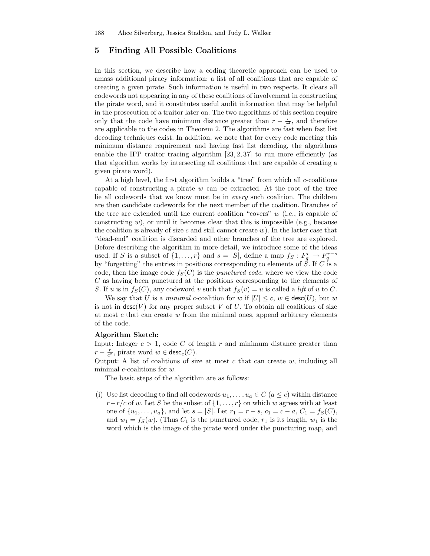# 5 Finding All Possible Coalitions

In this section, we describe how a coding theoretic approach can be used to amass additional piracy information: a list of all coalitions that are capable of creating a given pirate. Such information is useful in two respects. It clears all codewords not appearing in any of these coalitions of involvement in constructing the pirate word, and it constitutes useful audit information that may be helpful in the prosecution of a traitor later on. The two algorithms of this section require only that the code have minimum distance greater than  $r - \frac{r}{c^2}$ , and therefore are applicable to the codes in Theorem 2. The algorithms are fast when fast list decoding techniques exist. In addition, we note that for every code meeting this minimum distance requirement and having fast list decoding, the algorithms enable the IPP traitor tracing algorithm  $[23, 2, 37]$  to run more efficiently (as that algorithm works by intersecting all coalitions that are capable of creating a given pirate word).

At a high level, the first algorithm builds a "tree" from which all c-coalitions capable of constructing a pirate  $w$  can be extracted. At the root of the tree lie all codewords that we know must be in every such coalition. The children are then candidate codewords for the next member of the coalition. Branches of the tree are extended until the current coalition "covers"  $w$  (i.e., is capable of constructing w), or until it becomes clear that this is impossible (e.g., because the coalition is already of size  $c$  and still cannot create  $w$ ). In the latter case that "dead-end" coalition is discarded and other branches of the tree are explored. Before describing the algorithm in more detail, we introduce some of the ideas used. If S is a subset of  $\{1, \ldots, r\}$  and  $s = |S|$ , define a map  $f_S: F_q^r \to F_q^{r-s}$ by "forgetting" the entries in positions corresponding to elements of  $S$ . If  $C$  is a code, then the image code  $f_S(C)$  is the *punctured code*, where we view the code C as having been punctured at the positions corresponding to the elements of S. If u is in  $f_S(C)$ , any codeword v such that  $f_S(v) = u$  is called a lift of u to C.

We say that U is a minimal c-coalition for w if  $|U| \leq c$ ,  $w \in \text{desc}(U)$ , but w is not in  $\text{desc}(V)$  for any proper subset V of U. To obtain all coalitions of size at most c that can create  $w$  from the minimal ones, append arbitrary elements of the code.

#### Algorithm Sketch:

Input: Integer  $c > 1$ , code C of length r and minimum distance greater than  $r - \frac{r}{c^2}$ , pirate word  $w \in \text{desc}_c(C)$ .

Output: A list of coalitions of size at most  $c$  that can create  $w$ , including all minimal  $c$ -coalitions for  $w$ .

The basic steps of the algorithm are as follows:

(i) Use list decoding to find all codewords  $u_1, \ldots, u_a \in C$  ( $a \leq c$ ) within distance  $r-r/c$  of  $w.$  Let  $S$  be the subset of  $\{1,\ldots,r\}$  on which  $w$  agrees with at least one of  $\{u_1, \ldots, u_a\}$ , and let  $s = |S|$ . Let  $r_1 = r - s$ ,  $c_1 = c - a$ ,  $C_1 = f_S(C)$ , and  $w_1 = f_S(w)$ . (Thus  $C_1$  is the punctured code,  $r_1$  is its length,  $w_1$  is the word which is the image of the pirate word under the puncturing map, and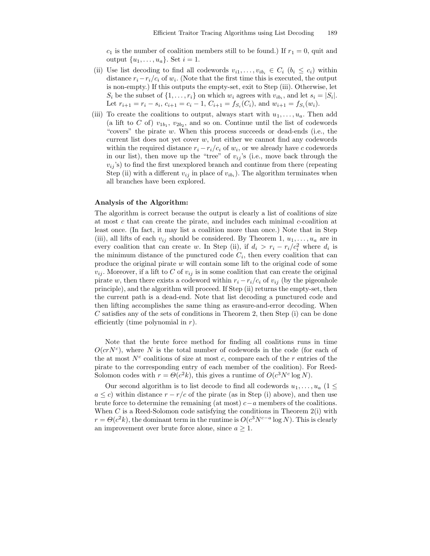$c_1$  is the number of coalition members still to be found.) If  $r_1 = 0$ , quit and output  $\{u_1, \ldots, u_a\}$ . Set  $i = 1$ .

- (ii) Use list decoding to find all codewords  $v_{i1}, \ldots, v_{ib_i} \in C_i$   $(b_i \le c_i)$  within distance  $r_i - r_i/c_i$  of  $w_i$ . (Note that the first time this is executed, the output is non-empty.) If this outputs the empty-set, exit to Step (iii). Otherwise, let  $S_i$  be the subset of  $\{1, \ldots, r_i\}$  on which  $w_i$  agrees with  $v_{ib_i}$ , and let  $s_i = |S_i|$ . Let  $r_{i+1} = r_i - s_i$ ,  $c_{i+1} = c_i - 1$ ,  $C_{i+1} = f_{S_i}(C_i)$ , and  $w_{i+1} = f_{S_i}(w_i)$ .
- (iii) To create the coalitions to output, always start with  $u_1, \ldots, u_a$ . Then add (a lift to C of)  $v_{1b_1}$ ,  $v_{2b_2}$ , and so on. Continue until the list of codewords "covers" the pirate  $w$ . When this process succeeds or dead-ends (i.e., the current list does not yet cover  $w$ , but either we cannot find any codewords within the required distance  $r_i - r_i/c_i$  of  $w_i$ , or we already have c codewords in our list), then move up the "tree" of  $v_{ij}$ 's (i.e., move back through the  $v_{ij}$ 's) to find the first unexplored branch and continue from there (repeating Step (ii) with a different  $v_{ij}$  in place of  $v_{ib_i}$ ). The algorithm terminates when all branches have been explored.

#### Analysis of the Algorithm:

The algorithm is correct because the output is clearly a list of coalitions of size at most c that can create the pirate, and includes each minimal  $c$ -coalition at least once. (In fact, it may list a coalition more than once.) Note that in Step (iii), all lifts of each  $v_{ij}$  should be considered. By Theorem 1,  $u_1, \ldots, u_a$  are in every coalition that can create w. In Step (ii), if  $d_i > r_i - r_i/c_i^2$  where  $d_i$  is the minimum distance of the punctured code  $C_i$ , then every coalition that can produce the original pirate  $w$  will contain some lift to the original code of some  $v_{ij}$ . Moreover, if a lift to C of  $v_{ij}$  is in some coalition that can create the original pirate w, then there exists a codeword within  $r_i - r_i/c_i$  of  $v_{ij}$  (by the pigeonhole principle), and the algorithm will proceed. If Step (ii) returns the empty-set, then the current path is a dead-end. Note that list decoding a punctured code and then lifting accomplishes the same thing as erasure-and-error decoding. When  $C$  satisfies any of the sets of conditions in Theorem 2, then Step  $(i)$  can be done efficiently (time polynomial in  $r$ ).

Note that the brute force method for finding all coalitions runs in time  $O(c r N^c)$ , where N is the total number of codewords in the code (for each of the at most  $N^c$  coalitions of size at most c, compare each of the r entries of the pirate to the corresponding entry of each member of the coalition). For Reed-Solomon codes with  $r = \Theta(c^2 k)$ , this gives a runtime of  $O(c^3 N^c \log N)$ .

Our second algorithm is to list decode to find all codewords  $u_1, \ldots, u_a$  (1  $\leq$  $a \leq c$ ) within distance  $r - r/c$  of the pirate (as in Step (i) above), and then use brute force to determine the remaining (at most)  $c-a$  members of the coalitions. When C is a Reed-Solomon code satisfying the conditions in Theorem 2(i) with  $r = \Theta(c^2 k)$ , the dominant term in the runtime is  $O(c^3 N^{c-a} \log N)$ . This is clearly an improvement over brute force alone, since  $a \geq 1$ .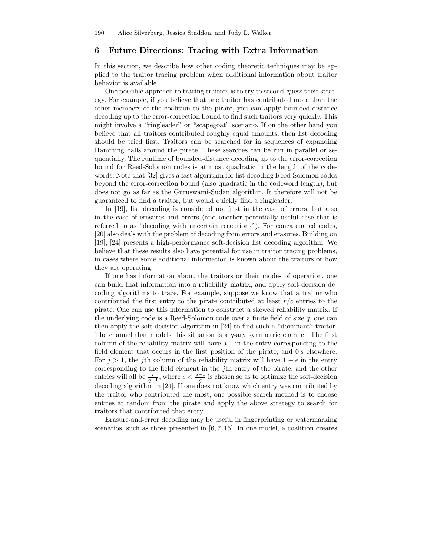# 6 Future Directions: Tracing with Extra Information

In this section, we describe how other coding theoretic techniques may be applied to the traitor tracing problem when additional information about traitor behavior is available.

One possible approach to tracing traitors is to try to second-guess their strategy. For example, if you believe that one traitor has contributed more than the other members of the coalition to the pirate, you can apply bounded-distance decoding up to the error-correction bound to find such traitors very quickly. This might involve a "ringleader" or "scapegoat" scenario. If on the other hand you believe that all traitors contributed roughly equal amounts, then list decoding should be tried first. Traitors can be searched for in sequences of expanding Hamming balls around the pirate. These searches can be run in parallel or sequentially. The runtime of bounded-distance decoding up to the error-correction bound for Reed-Solomon codes is at most quadratic in the length of the codewords. Note that [32] gives a fast algorithm for list decoding Reed-Solomon codes beyond the error-correction bound (also quadratic in the codeword length), but does not go as far as the Guruswami-Sudan algorithm. It therefore will not be guaranteed to find a traitor, but would quickly find a ringleader.

In [19], list decoding is considered not just in the case of errors, but also in the case of erasures and errors (and another potentially useful case that is referred to as "decoding with uncertain receptions"). For concatenated codes, [20] also deals with the problem of decoding from errors and erasures. Building on [19], [24] presents a high-performance soft-decision list decoding algorithm. We believe that these results also have potential for use in traitor tracing problems, in cases where some additional information is known about the traitors or how they are operating.

If one has information about the traitors or their modes of operation, one can build that information into a reliability matrix, and apply soft-decision decoding algorithms to trace. For example, suppose we know that a traitor who contributed the first entry to the pirate contributed at least  $r/c$  entries to the pirate. One can use this information to construct a skewed reliability matrix. If the underlying code is a Reed-Solomon code over a finite field of size  $q$ , one can then apply the soft-decision algorithm in [24] to find such a "dominant" traitor. The channel that models this situation is a  $q$ -ary symmetric channel. The first column of the reliability matrix will have a 1 in the entry corresponding to the field element that occurs in the first position of the pirate, and 0's elsewhere. For  $j > 1$ , the j<sup>th</sup> column of the reliability matrix will have  $1 - \epsilon$  in the entry corresponding to the field element in the jth entry of the pirate, and the other entries will all be  $\frac{\epsilon}{q-1}$ , where  $\epsilon < \frac{q-1}{q}$  is chosen so as to optimize the soft-decision decoding algorithm in [24]. If one does not know which entry was contributed by the traitor who contributed the most, one possible search method is to choose entries at random from the pirate and apply the above strategy to search for traitors that contributed that entry.

Erasure-and-error decoding may be useful in fingerprinting or watermarking scenarios, such as those presented in [6, 7, 15]. In one model, a coalition creates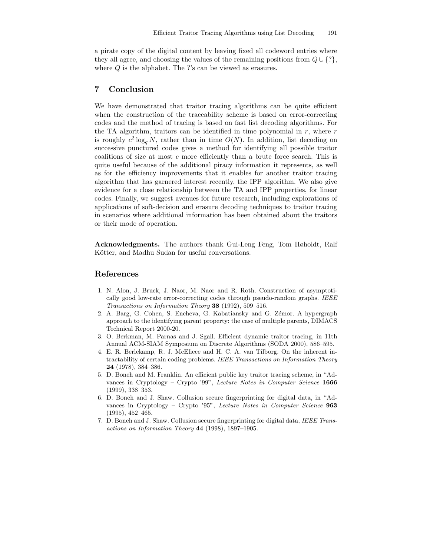a pirate copy of the digital content by leaving fixed all codeword entries where they all agree, and choosing the values of the remaining positions from  $Q \cup \{? \}$ , where Q is the alphabet. The ?'s can be viewed as erasures.

### 7 Conclusion

We have demonstrated that traitor tracing algorithms can be quite efficient when the construction of the traceability scheme is based on error-correcting codes and the method of tracing is based on fast list decoding algorithms. For the TA algorithm, traitors can be identified in time polynomial in  $r$ , where  $r$ is roughly  $c^2 \log_q N$ , rather than in time  $O(N)$ . In addition, list decoding on successive punctured codes gives a method for identifying all possible traitor coalitions of size at most c more efficiently than a brute force search. This is quite useful because of the additional piracy information it represents, as well as for the efficiency improvements that it enables for another traitor tracing algorithm that has garnered interest recently, the IPP algorithm. We also give evidence for a close relationship between the TA and IPP properties, for linear codes. Finally, we suggest avenues for future research, including explorations of applications of soft-decision and erasure decoding techniques to traitor tracing in scenarios where additional information has been obtained about the traitors or their mode of operation.

Acknowledgments. The authors thank Gui-Leng Feng, Tom Høholdt, Ralf Kötter, and Madhu Sudan for useful conversations.

## References

- 1. N. Alon, J. Bruck, J. Naor, M. Naor and R. Roth. Construction of asymptotically good low-rate error-correcting codes through pseudo-random graphs. IEEE Transactions on Information Theory 38 (1992), 509–516.
- 2. A. Barg, G. Cohen, S. Encheva, G. Kabatiansky and G. Zémor. A hypergraph approach to the identifying parent property: the case of multiple parents, DIMACS Technical Report 2000-20.
- 3. O. Berkman, M. Parnas and J. Sgall. Efficient dynamic traitor tracing, in 11th Annual ACM-SIAM Symposium on Discrete Algorithms (SODA 2000), 586–595.
- 4. E. R. Berlekamp, R. J. McEliece and H. C. A. van Tilborg. On the inherent intractability of certain coding problems. IEEE Transactions on Information Theory 24 (1978), 384–386.
- 5. D. Boneh and M. Franklin. An efficient public key traitor tracing scheme, in "Advances in Cryptology - Crypto '99", Lecture Notes in Computer Science 1666 (1999), 338–353.
- 6. D. Boneh and J. Shaw. Collusion secure fingerprinting for digital data, in "Advances in Cryptology – Crypto '95", Lecture Notes in Computer Science 963 (1995), 452–465.
- 7. D. Boneh and J. Shaw. Collusion secure fingerprinting for digital data, IEEE Transactions on Information Theory 44 (1998), 1897–1905.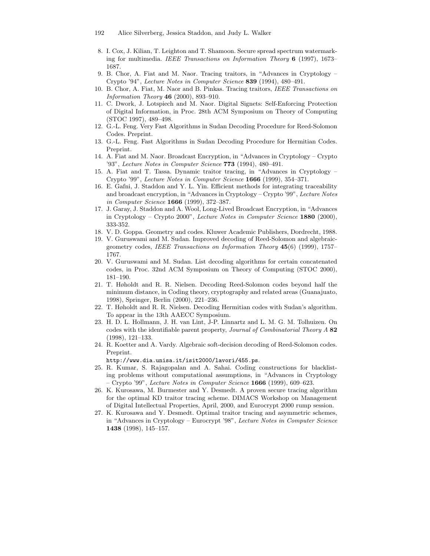- 192 Alice Silverberg, Jessica Staddon, and Judy L. Walker
- 8. I. Cox, J. Kilian, T. Leighton and T. Shamoon. Secure spread spectrum watermarking for multimedia. IEEE Transactions on Information Theory  $6$  (1997), 1673– 1687.
- 9. B. Chor, A. Fiat and M. Naor. Tracing traitors, in "Advances in Cryptology Crypto '94", Lecture Notes in Computer Science 839 (1994), 480–491.
- 10. B. Chor, A. Fiat, M. Naor and B. Pinkas. Tracing traitors, IEEE Transactions on Information Theory 46 (2000), 893–910.
- 11. C. Dwork, J. Lotspiech and M. Naor. Digital Signets: Self-Enforcing Protection of Digital Information, in Proc. 28th ACM Symposium on Theory of Computing (STOC 1997), 489–498.
- 12. G.-L. Feng. Very Fast Algorithms in Sudan Decoding Procedure for Reed-Solomon Codes. Preprint.
- 13. G.-L. Feng. Fast Algorithms in Sudan Decoding Procedure for Hermitian Codes. Preprint.
- 14. A. Fiat and M. Naor. Broadcast Encryption, in "Advances in Cryptology Crypto '93", Lecture Notes in Computer Science 773 (1994), 480–491.
- 15. A. Fiat and T. Tassa. Dynamic traitor tracing, in "Advances in Cryptology Crypto '99", Lecture Notes in Computer Science 1666 (1999), 354–371.
- 16. E. Gafni, J. Staddon and Y. L. Yin. Efficient methods for integrating traceability and broadcast encryption, in "Advances in Cryptology – Crypto '99", Lecture Notes in Computer Science 1666 (1999), 372–387.
- 17. J. Garay, J. Staddon and A. Wool, Long-Lived Broadcast Encryption, in "Advances in Cryptology – Crypto 2000", Lecture Notes in Computer Science 1880 (2000), 333-352.
- 18. V. D. Goppa. Geometry and codes. Kluwer Academic Publishers, Dordrecht, 1988.
- 19. V. Guruswami and M. Sudan. Improved decoding of Reed-Solomon and algebraicgeometry codes, IEEE Transactions on Information Theory 45(6) (1999), 1757– 1767.
- 20. V. Guruswami and M. Sudan. List decoding algorithms for certain concatenated codes, in Proc. 32nd ACM Symposium on Theory of Computing (STOC 2000), 181–190.
- 21. T. Høholdt and R. R. Nielsen. Decoding Reed-Solomon codes beyond half the minimum distance, in Coding theory, cryptography and related areas (Guanajuato, 1998), Springer, Berlin (2000), 221–236.
- 22. T. Høholdt and R. R. Nielsen. Decoding Hermitian codes with Sudan's algorithm. To appear in the 13th AAECC Symposium.
- 23. H. D. L. Hollmann, J. H. van Lint, J-P. Linnartz and L. M. G. M. Tolhuizen. On codes with the identifiable parent property, Journal of Combinatorial Theory A 82 (1998), 121–133.
- 24. R. Koetter and A. Vardy. Algebraic soft-decision decoding of Reed-Solomon codes. Preprint.

http://www.dia.unisa.it/isit2000/lavori/455.ps.

- 25. R. Kumar, S. Rajagopalan and A. Sahai. Coding constructions for blacklisting problems without computational assumptions, in "Advances in Cryptology – Crypto '99", Lecture Notes in Computer Science  $1666$  (1999), 609–623.
- 26. K. Kurosawa, M. Burmester and Y. Desmedt. A proven secure tracing algorithm for the optimal KD traitor tracing scheme. DIMACS Workshop on Management of Digital Intellectual Properties, April, 2000, and Eurocrypt 2000 rump session.
- 27. K. Kurosawa and Y. Desmedt. Optimal traitor tracing and asymmetric schemes, in "Advances in Cryptology – Eurocrypt '98", Lecture Notes in Computer Science 1438 (1998), 145–157.